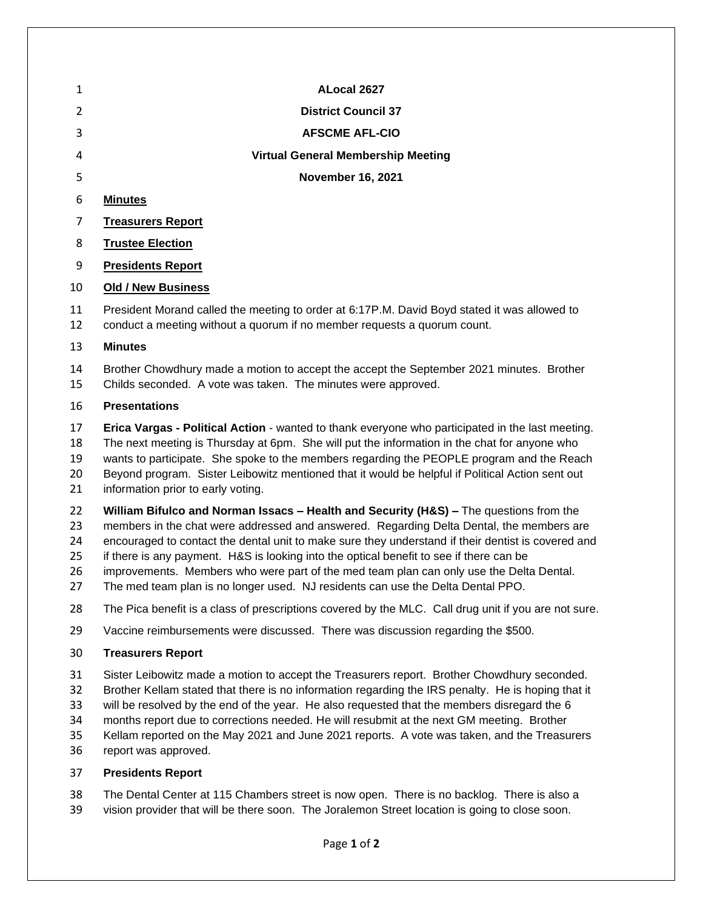|               |                          | ALocal 2627                               |
|---------------|--------------------------|-------------------------------------------|
| $\mathcal{P}$ |                          | <b>District Council 37</b>                |
| 3             |                          | <b>AFSCME AFL-CIO</b>                     |
| 4             |                          | <b>Virtual General Membership Meeting</b> |
| 5             |                          | <b>November 16, 2021</b>                  |
| 6             | <b>Minutes</b>           |                                           |
| 7             | <b>Treasurers Report</b> |                                           |
| 8             | <b>Trustee Election</b>  |                                           |
| 9             | <b>Presidents Report</b> |                                           |

# **Old / New Business**

 President Morand called the meeting to order at 6:17P.M. David Boyd stated it was allowed to conduct a meeting without a quorum if no member requests a quorum count.

## **Minutes**

 Brother Chowdhury made a motion to accept the accept the September 2021 minutes. Brother Childs seconded. A vote was taken. The minutes were approved.

## **Presentations**

 **Erica Vargas - Political Action** - wanted to thank everyone who participated in the last meeting. The next meeting is Thursday at 6pm. She will put the information in the chat for anyone who wants to participate. She spoke to the members regarding the PEOPLE program and the Reach Beyond program. Sister Leibowitz mentioned that it would be helpful if Political Action sent out 21 information prior to early voting.

**William Bifulco and Norman Issacs – Health and Security (H&S) –** The questions from the

members in the chat were addressed and answered. Regarding Delta Dental, the members are

 encouraged to contact the dental unit to make sure they understand if their dentist is covered and if there is any payment. H&S is looking into the optical benefit to see if there can be

- improvements. Members who were part of the med team plan can only use the Delta Dental.
- The med team plan is no longer used. NJ residents can use the Delta Dental PPO.
- The Pica benefit is a class of prescriptions covered by the MLC. Call drug unit if you are not sure.
- Vaccine reimbursements were discussed. There was discussion regarding the \$500.

# **Treasurers Report**

- Sister Leibowitz made a motion to accept the Treasurers report. Brother Chowdhury seconded.
- Brother Kellam stated that there is no information regarding the IRS penalty. He is hoping that it
- will be resolved by the end of the year. He also requested that the members disregard the 6
- months report due to corrections needed. He will resubmit at the next GM meeting. Brother
- Kellam reported on the May 2021 and June 2021 reports. A vote was taken, and the Treasurers
- report was approved.

# **Presidents Report**

 The Dental Center at 115 Chambers street is now open. There is no backlog. There is also a vision provider that will be there soon. The Joralemon Street location is going to close soon.